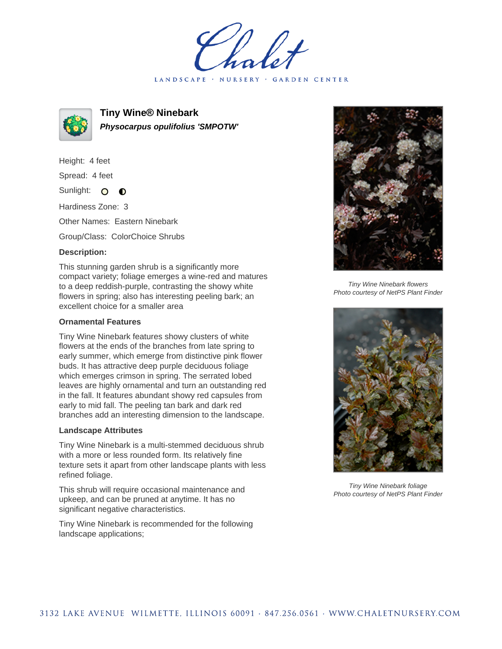LANDSCAPE · NURSERY · GARDEN CENTER



**Tiny Wine® Ninebark Physocarpus opulifolius 'SMPOTW'**

Height: 4 feet

Spread: 4 feet

Sunlight: O  $\bullet$ 

Hardiness Zone: 3

Other Names: Eastern Ninebark

Group/Class: ColorChoice Shrubs

## **Description:**

This stunning garden shrub is a significantly more compact variety; foliage emerges a wine-red and matures to a deep reddish-purple, contrasting the showy white flowers in spring; also has interesting peeling bark; an excellent choice for a smaller area

## **Ornamental Features**

Tiny Wine Ninebark features showy clusters of white flowers at the ends of the branches from late spring to early summer, which emerge from distinctive pink flower buds. It has attractive deep purple deciduous foliage which emerges crimson in spring. The serrated lobed leaves are highly ornamental and turn an outstanding red in the fall. It features abundant showy red capsules from early to mid fall. The peeling tan bark and dark red branches add an interesting dimension to the landscape.

## **Landscape Attributes**

Tiny Wine Ninebark is a multi-stemmed deciduous shrub with a more or less rounded form. Its relatively fine texture sets it apart from other landscape plants with less refined foliage.

This shrub will require occasional maintenance and upkeep, and can be pruned at anytime. It has no significant negative characteristics.

Tiny Wine Ninebark is recommended for the following landscape applications;



Tiny Wine Ninebark flowers Photo courtesy of NetPS Plant Finder



Tiny Wine Ninebark foliage Photo courtesy of NetPS Plant Finder